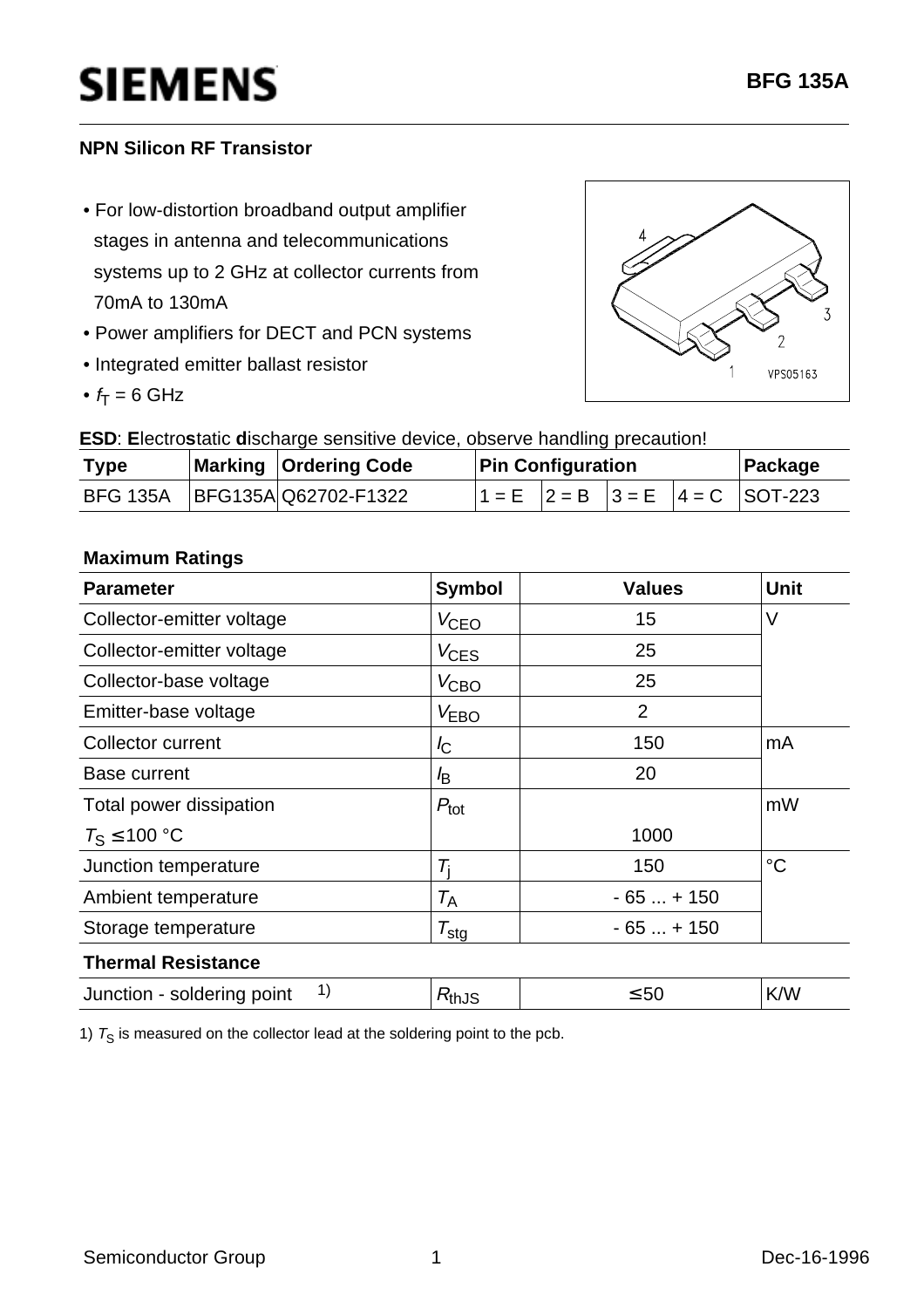# **SIEMENS**

### **NPN Silicon RF Transistor**

- For low-distortion broadband output amplifier stages in antenna and telecommunications systems up to 2 GHz at collector currents from 70mA to 130mA
- Power amplifiers for DECT and PCN systems
- Integrated emitter ballast resistor
- $f_T = 6$  GHz



**ESD**: **E**lectro**s**tatic **d**ischarge sensitive device, observe handling precaution!

| <b>Type</b> | Marking   Ordering Code         | <b>Pin Configuration</b> |  |  |  | Package                                     |
|-------------|---------------------------------|--------------------------|--|--|--|---------------------------------------------|
|             | BFG 135A   BFG135A Q62702-F1322 |                          |  |  |  | $11 = E$ $ 2 = B$ $ 3 = E$ $ 4 = C$ SOT-223 |

#### **Maximum Ratings**

| <b>Parameter</b>                 | <b>Symbol</b>       | <b>Values</b>  | <b>Unit</b> |  |
|----------------------------------|---------------------|----------------|-------------|--|
| Collector-emitter voltage        | $V_{\text{CEO}}$    | 15             | $\vee$      |  |
| Collector-emitter voltage        | $V_{\text{CES}}$    | 25             |             |  |
| Collector-base voltage           | $V_{\text{CBO}}$    | 25             |             |  |
| Emitter-base voltage             | V <sub>EBO</sub>    | $\overline{2}$ |             |  |
| Collector current                | $I_{\rm C}$         | 150            | mA          |  |
| <b>Base current</b>              | l <sub>B</sub>      | 20             |             |  |
| Total power dissipation          | $P_{\text{tot}}$    |                | mW          |  |
| $T_S \le 100 °C$                 |                     | 1000           |             |  |
| Junction temperature             | $\tau_{\rm i}$      | 150            | $^{\circ}C$ |  |
| Ambient temperature              | $T_{\sf A}$         | $-65+150$      |             |  |
| Storage temperature              | $\tau_{\text{stg}}$ | $-65+150$      |             |  |
| <b>Thermal Resistance</b>        |                     |                |             |  |
| 1)<br>Junction - soldering point | $R_{th,JS}$         | $\leq 50$      | K/W         |  |

1)  $T_S$  is measured on the collector lead at the soldering point to the pcb.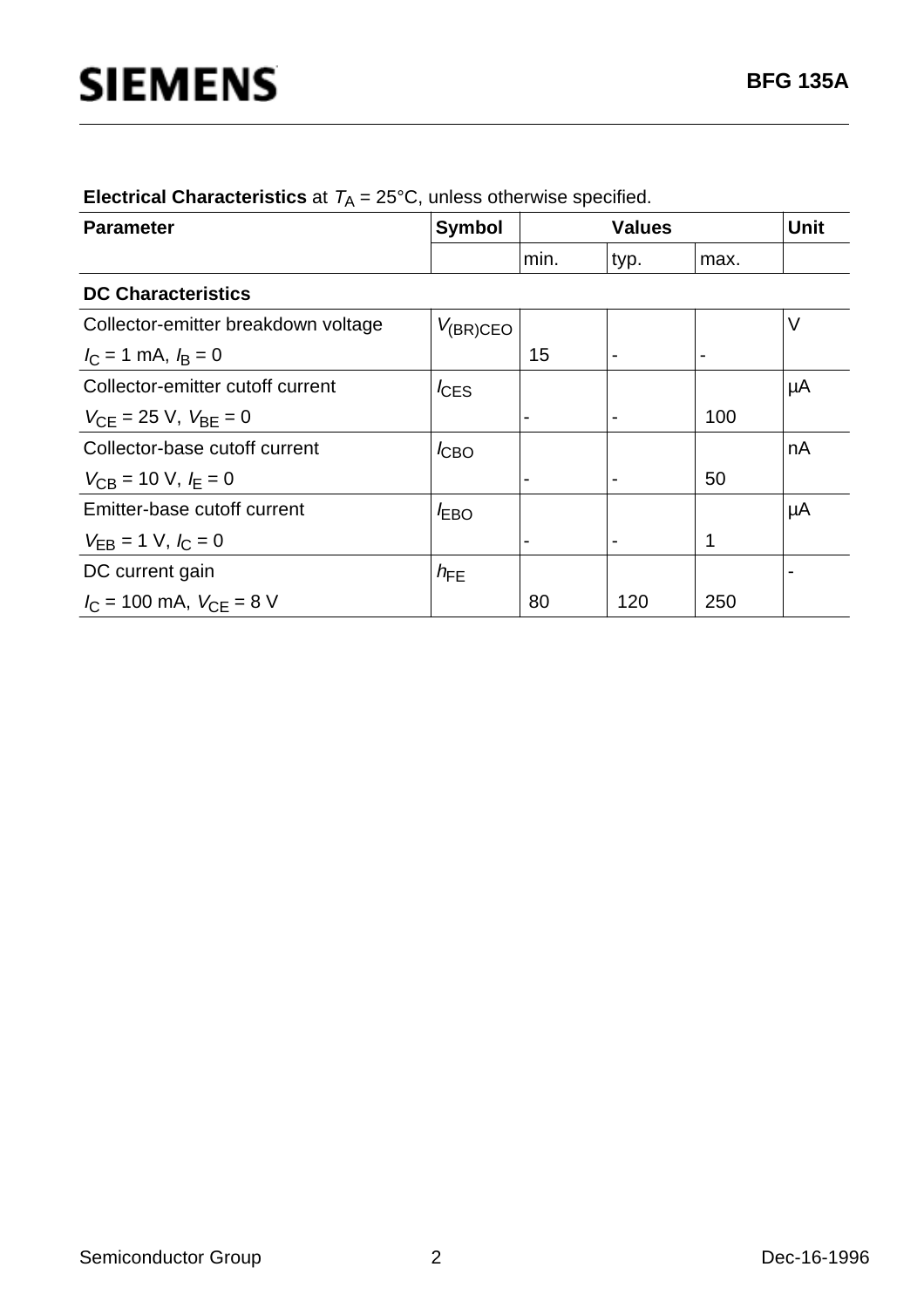| <b>Parameter</b>                                  | <b>Symbol</b>    |                | <b>Values</b>  |                | <b>Unit</b> |  |  |
|---------------------------------------------------|------------------|----------------|----------------|----------------|-------------|--|--|
|                                                   |                  | min.           | typ.           | max.           |             |  |  |
| <b>DC Characteristics</b>                         |                  |                |                |                |             |  |  |
| Collector-emitter breakdown voltage               | $V_{(BR)CEO}$    |                |                |                | V           |  |  |
| $I_{\rm C}$ = 1 mA, $I_{\rm B}$ = 0               |                  | 15             | $\blacksquare$ | $\blacksquare$ |             |  |  |
| Collector-emitter cutoff current                  | $I_{\text{CES}}$ |                |                |                | μA          |  |  |
| $V_{\text{CF}} = 25 \text{ V}, V_{\text{BF}} = 0$ |                  | $\blacksquare$ |                | 100            |             |  |  |
| Collector-base cutoff current                     | $I_{CBO}$        |                |                |                | nA          |  |  |
| $V_{CB}$ = 10 V, $I_E$ = 0                        |                  | $\blacksquare$ |                | 50             |             |  |  |
| Emitter-base cutoff current                       | $I_{EBO}$        |                |                |                | μA          |  |  |
| $V_{EB} = 1$ V, $I_C = 0$                         |                  | $\blacksquare$ |                | 1              |             |  |  |
| DC current gain                                   | $h_{FE}$         |                |                |                |             |  |  |
| $I_{\rm C}$ = 100 mA, $V_{\rm CE}$ = 8 V          |                  | 80             | 120            | 250            |             |  |  |

| <b>Electrical Characteristics</b> at $T_A = 25^{\circ}$ C, unless otherwise specified. |  |  |  |  |  |
|----------------------------------------------------------------------------------------|--|--|--|--|--|
|----------------------------------------------------------------------------------------|--|--|--|--|--|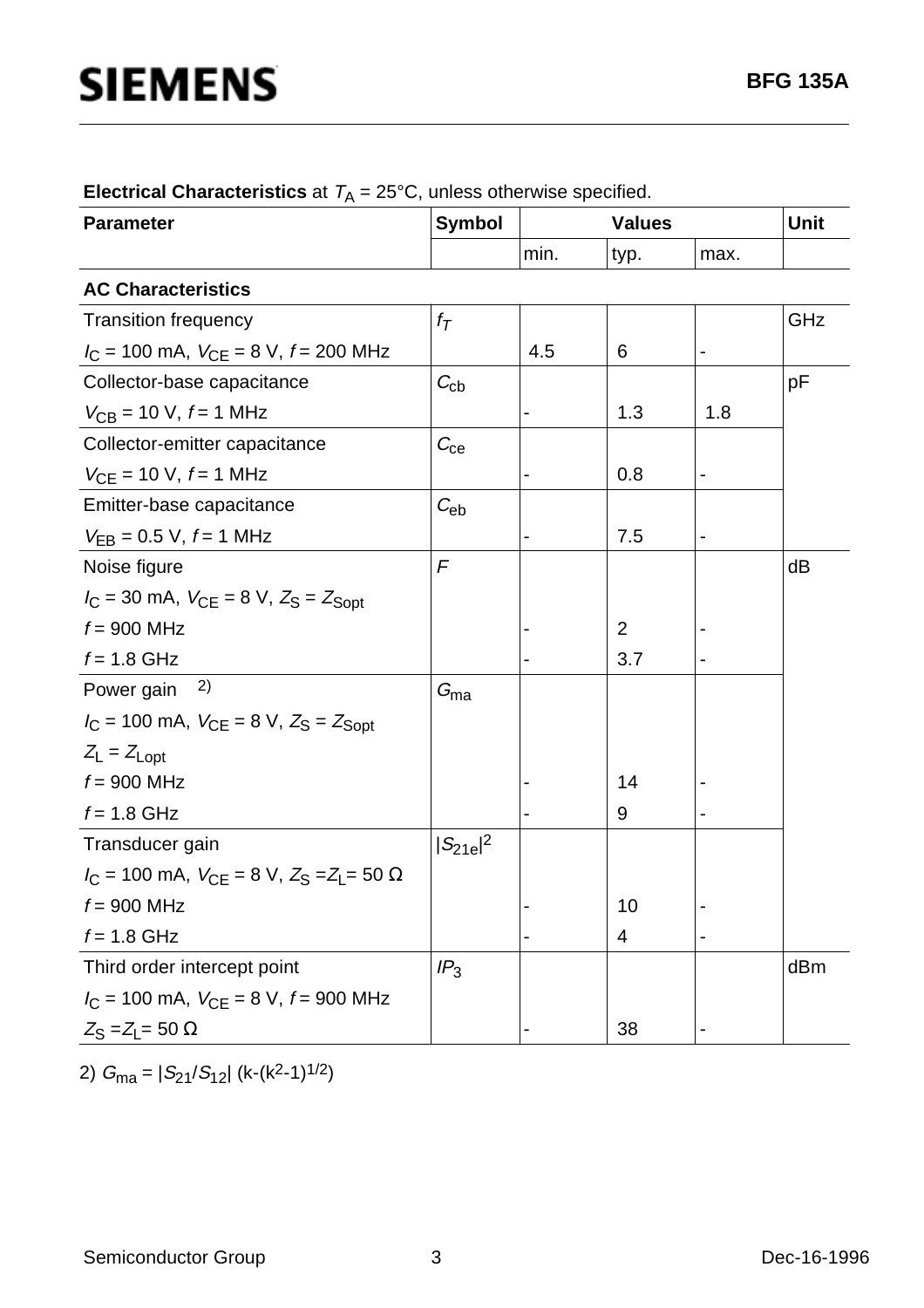| <b>Parameter</b>                                          | <b>Symbol</b>     |                          |                | <b>Values</b>                |     |
|-----------------------------------------------------------|-------------------|--------------------------|----------------|------------------------------|-----|
|                                                           |                   | min.                     | typ.           | max.                         |     |
| <b>AC Characteristics</b>                                 |                   |                          |                |                              |     |
| <b>Transition frequency</b>                               | $f_{\mathcal{T}}$ |                          |                |                              | GHz |
| $I_C = 100$ mA, $V_{CE} = 8$ V, $f = 200$ MHz             |                   | 4.5                      | 6              | -                            |     |
| Collector-base capacitance                                | $C_{\rm cb}$      |                          |                |                              | pF  |
| $V_{CB}$ = 10 V, $f$ = 1 MHz                              |                   |                          | 1.3            | 1.8                          |     |
| Collector-emitter capacitance                             | $C_{\rm ce}$      |                          |                |                              |     |
| $V_{CE}$ = 10 V, $f$ = 1 MHz                              |                   |                          | 0.8            | -                            |     |
| Emitter-base capacitance                                  | $C_{\text{eb}}$   |                          |                |                              |     |
| $V_{EB} = 0.5 V, f = 1 MHz$                               |                   | $\overline{\phantom{0}}$ | 7.5            | $\qquad \qquad \blacksquare$ |     |
| Noise figure                                              | F                 |                          |                |                              | dB  |
| $I_C = 30$ mA, $V_{CE} = 8$ V, $Z_S = Z_{Sopt}$           |                   |                          |                |                              |     |
| $f = 900$ MHz                                             |                   |                          | $\overline{2}$ |                              |     |
| $f = 1.8$ GHz                                             |                   |                          | 3.7            |                              |     |
| 2)<br>Power gain                                          | $G_{\text{ma}}$   |                          |                |                              |     |
| $I_C = 100$ mA, $V_{CE} = 8$ V, $Z_S = Z_{Sopt}$          |                   |                          |                |                              |     |
| $Z_L = Z_{Lopt}$                                          |                   |                          |                |                              |     |
| $f = 900$ MHz                                             |                   |                          | 14             |                              |     |
| $f = 1.8$ GHz                                             |                   |                          | 9              |                              |     |
| Transducer gain                                           | $ S_{21e} ^2$     |                          |                |                              |     |
| $I_C = 100$ mA, $V_{CE} = 8$ V, $Z_S = Z_L = 50$ $\Omega$ |                   |                          |                |                              |     |
| $f = 900$ MHz                                             |                   |                          | 10             |                              |     |
| $f = 1.8$ GHz                                             |                   |                          | 4              |                              |     |
| Third order intercept point                               | IP <sub>3</sub>   |                          |                |                              | dBm |
| $I_C$ = 100 mA, $V_{CE}$ = 8 V, $f$ = 900 MHz             |                   |                          |                |                              |     |
| $Z_{\rm S}$ = $Z_{\rm L}$ = 50 $\Omega$                   |                   |                          | 38             |                              |     |

**Electrical Characteristics** at  $T_A = 25^{\circ}$ C, unless otherwise specified.

2)  $G_{\text{ma}} = |S_{21}/S_{12}|$  (k-(k<sup>2</sup>-1)<sup>1/2</sup>)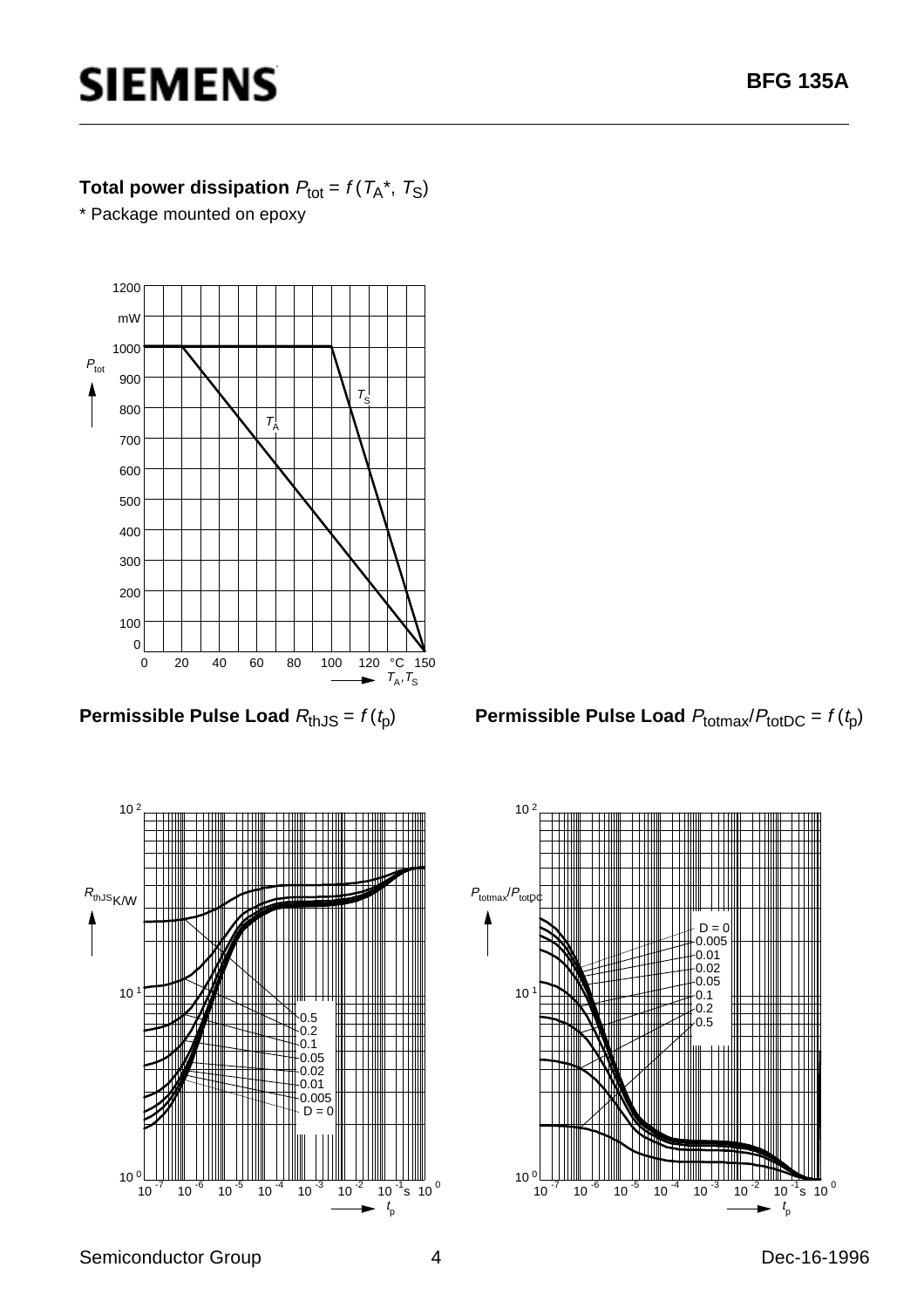# **SIEMENS**

### **Total power dissipation**  $P_{\text{tot}} = f(T_A^*, T_S)$

\* Package mounted on epoxy



**Permissible Pulse Load**  $R_{th,JS} = f(t_p)$ 



**Permissible Pulse Load**  $P_{\text{totmax}}/P_{\text{totDC}} = f(t_p)$ 

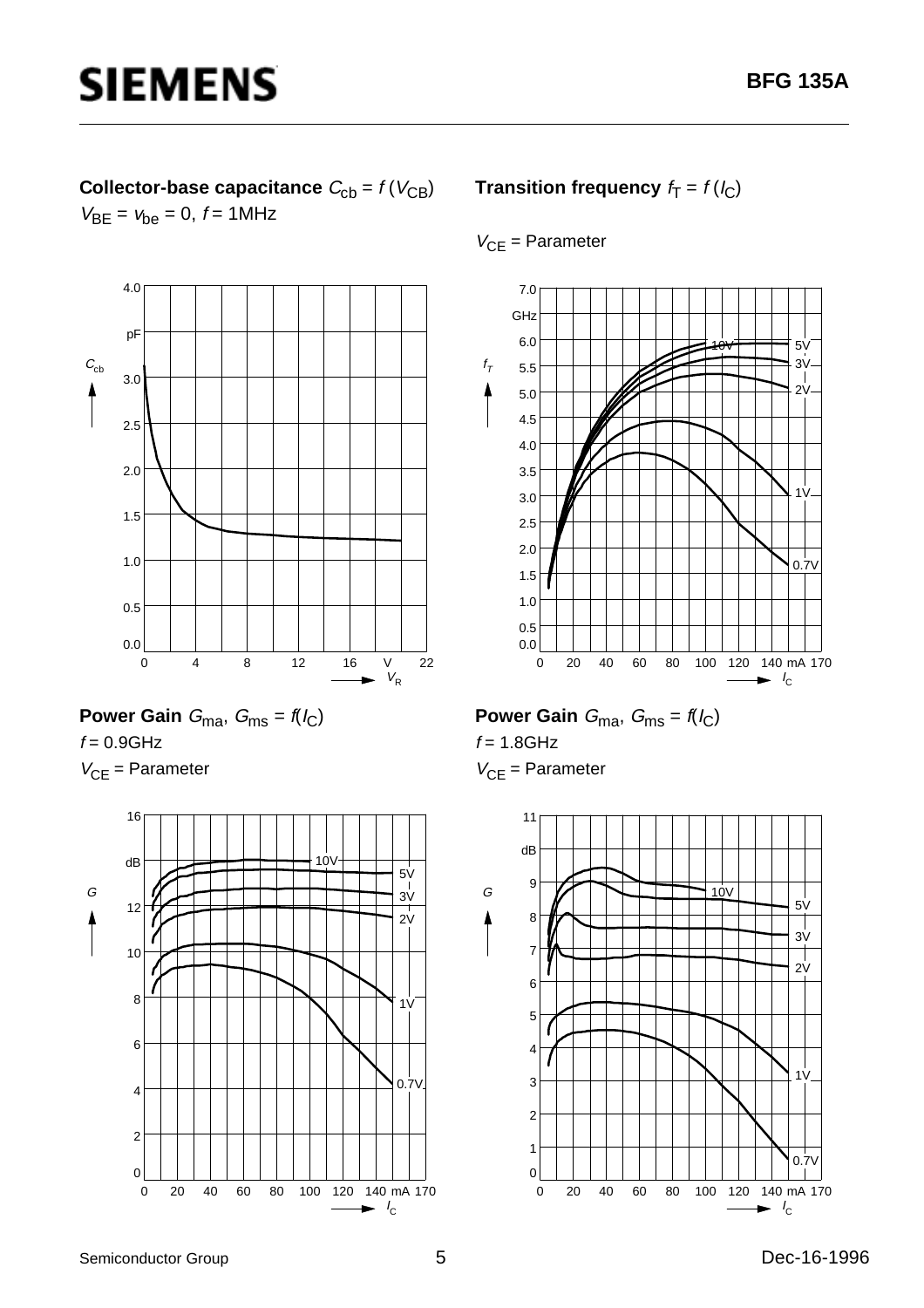## **Collector-base capacitance**  $C_{\text{cb}} = f(V_{\text{CB}})$  $V_{BE} = v_{be} = 0, f = 1MHz$





 $V_{CF}$  = Parameter



### **Transition frequency**  $f_T = f(l_C)$

#### $V_{CE}$  = Parameter



# **Power Gain**  $G_{\text{ma}}$ ,  $G_{\text{ms}} = f(I_C)$

 $f = 1.8$ GHz  $V_{CF}$  = Parameter